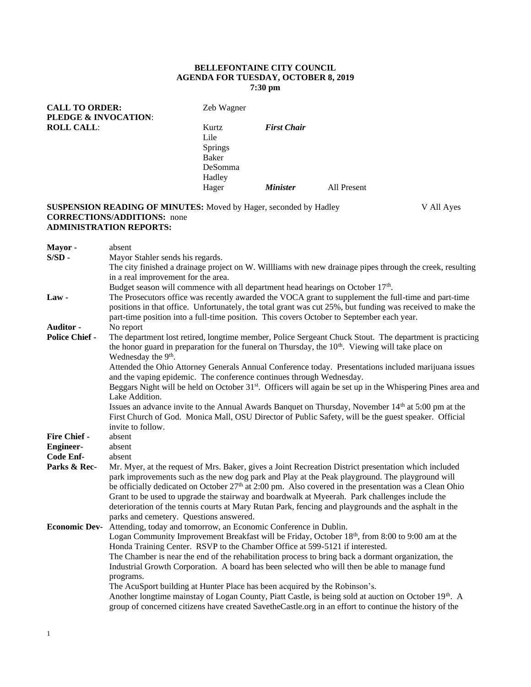# **BELLEFONTAINE CITY COUNCIL AGENDA FOR TUESDAY, OCTOBER 8, 2019 7:30 pm**

**CALL TO ORDER:** Zeb Wagner **PLEDGE & INVOCATION**: **ROLL CALL:** Kurtz *First Chair* Lile Springs Baker DeSomma Hadley Hager *Minister* All Present

# **SUSPENSION READING OF MINUTES:** Moved by Hager, seconded by Hadley V All Ayes **CORRECTIONS/ADDITIONS:** none **ADMINISTRATION REPORTS:**

| Mayor-                | absent                                                                                                                  |  |  |
|-----------------------|-------------------------------------------------------------------------------------------------------------------------|--|--|
| $S/SD$ -              | Mayor Stahler sends his regards.                                                                                        |  |  |
|                       | The city finished a drainage project on W. Willliams with new drainage pipes through the creek, resulting               |  |  |
|                       | in a real improvement for the area.                                                                                     |  |  |
|                       | Budget season will commence with all department head hearings on October 17 <sup>th</sup> .                             |  |  |
| $Law -$               | The Prosecutors office was recently awarded the VOCA grant to supplement the full-time and part-time                    |  |  |
|                       | positions in that office. Unfortunately, the total grant was cut 25%, but funding was received to make the              |  |  |
|                       | part-time position into a full-time position. This covers October to September each year.                               |  |  |
| Auditor -             | No report                                                                                                               |  |  |
| <b>Police Chief -</b> | The department lost retired, longtime member, Police Sergeant Chuck Stout. The department is practicing                 |  |  |
|                       | the honor guard in preparation for the funeral on Thursday, the $10th$ . Viewing will take place on                     |  |  |
|                       | Wednesday the 9 <sup>th</sup> .                                                                                         |  |  |
|                       | Attended the Ohio Attorney Generals Annual Conference today. Presentations included marijuana issues                    |  |  |
|                       | and the vaping epidemic. The conference continues through Wednesday.                                                    |  |  |
|                       | Beggars Night will be held on October 31 <sup>st</sup> . Officers will again be set up in the Whispering Pines area and |  |  |
|                       | Lake Addition.                                                                                                          |  |  |
|                       | Issues an advance invite to the Annual Awards Banquet on Thursday, November $14th$ at 5:00 pm at the                    |  |  |
|                       | First Church of God. Monica Mall, OSU Director of Public Safety, will be the guest speaker. Official                    |  |  |
|                       | invite to follow.                                                                                                       |  |  |
| Fire Chief -          | absent                                                                                                                  |  |  |
| <b>Engineer-</b>      | absent                                                                                                                  |  |  |
| Code Enf-             | absent                                                                                                                  |  |  |
| Parks & Rec-          | Mr. Myer, at the request of Mrs. Baker, gives a Joint Recreation District presentation which included                   |  |  |
|                       | park improvements such as the new dog park and Play at the Peak playground. The playground will                         |  |  |
|                       | be officially dedicated on October $27th$ at 2:00 pm. Also covered in the presentation was a Clean Ohio                 |  |  |
|                       | Grant to be used to upgrade the stairway and boardwalk at Myeerah. Park challenges include the                          |  |  |
|                       | deterioration of the tennis courts at Mary Rutan Park, fencing and playgrounds and the asphalt in the                   |  |  |
|                       | parks and cemetery. Questions answered.                                                                                 |  |  |
| <b>Economic Dev-</b>  | Attending, today and tomorrow, an Economic Conference in Dublin.                                                        |  |  |
|                       | Logan Community Improvement Breakfast will be Friday, October 18 <sup>th</sup> , from 8:00 to 9:00 am at the            |  |  |
|                       | Honda Training Center. RSVP to the Chamber Office at 599-5121 if interested.                                            |  |  |
|                       | The Chamber is near the end of the rehabilitation process to bring back a dormant organization, the                     |  |  |
|                       | Industrial Growth Corporation. A board has been selected who will then be able to manage fund                           |  |  |
|                       | programs.                                                                                                               |  |  |
|                       | The AcuSport building at Hunter Place has been acquired by the Robinson's.                                              |  |  |
|                       | Another longtime mainstay of Logan County, Piatt Castle, is being sold at auction on October 19th. A                    |  |  |
|                       | group of concerned citizens have created SavetheCastle.org in an effort to continue the history of the                  |  |  |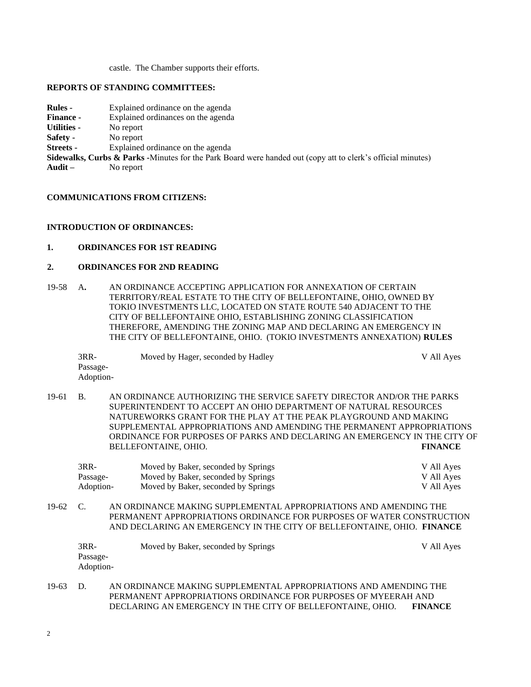castle. The Chamber supports their efforts.

### **REPORTS OF STANDING COMMITTEES:**

| <b>Rules -</b>   | Explained ordinance on the agenda                         |
|------------------|-----------------------------------------------------------|
| <b>Finance -</b> | Explained ordinances on the agenda                        |
| Utilities -      | No report                                                 |
| Safety -         | No report                                                 |
| <b>Streets -</b> | Explained ordinance on the agenda                         |
|                  | Sidewalks, Curbs & Parks -Minutes for the Park Board were |
| Audit $-$        | No report                                                 |

#### **COMMUNICATIONS FROM CITIZENS:**

## **INTRODUCTION OF ORDINANCES:**

# **1. ORDINANCES FOR 1ST READING**

## **2. ORDINANCES FOR 2ND READING**

19-58 A**.** AN ORDINANCE ACCEPTING APPLICATION FOR ANNEXATION OF CERTAIN TERRITORY/REAL ESTATE TO THE CITY OF BELLEFONTAINE, OHIO, OWNED BY TOKIO INVESTMENTS LLC, LOCATED ON STATE ROUTE 540 ADJACENT TO THE CITY OF BELLEFONTAINE OHIO, ESTABLISHING ZONING CLASSIFICATION THEREFORE, AMENDING THE ZONING MAP AND DECLARING AN EMERGENCY IN THE CITY OF BELLEFONTAINE, OHIO. (TOKIO INVESTMENTS ANNEXATION) **RULES**

handed out (copy att to clerk's official minutes)

3RR- Moved by Hager, seconded by Hadley V All Ayes Passage-Adoption-

19-61 B. AN ORDINANCE AUTHORIZING THE SERVICE SAFETY DIRECTOR AND/OR THE PARKS SUPERINTENDENT TO ACCEPT AN OHIO DEPARTMENT OF NATURAL RESOURCES NATUREWORKS GRANT FOR THE PLAY AT THE PEAK PLAYGROUND AND MAKING SUPPLEMENTAL APPROPRIATIONS AND AMENDING THE PERMANENT APPROPRIATIONS ORDINANCE FOR PURPOSES OF PARKS AND DECLARING AN EMERGENCY IN THE CITY OF BELLEFONTAINE, OHIO. **FINANCE**

| $3RR-$    | Moved by Baker, seconded by Springs | V All Ayes |
|-----------|-------------------------------------|------------|
| Passage-  | Moved by Baker, seconded by Springs | V All Ayes |
| Adoption- | Moved by Baker, seconded by Springs | V All Ayes |

19-62 C. AN ORDINANCE MAKING SUPPLEMENTAL APPROPRIATIONS AND AMENDING THE PERMANENT APPROPRIATIONS ORDINANCE FOR PURPOSES OF WATER CONSTRUCTION AND DECLARING AN EMERGENCY IN THE CITY OF BELLEFONTAINE, OHIO. **FINANCE**

|       | $3RR-$<br>Passage-<br>Adoption- | Moved by Baker, seconded by Springs                                                                                                | V All Ayes |
|-------|---------------------------------|------------------------------------------------------------------------------------------------------------------------------------|------------|
| 19-63 | D.                              | AN ORDINANCE MAKING SUPPLEMENTAL APPROPRIATIONS AND AMENDING THE<br>PERMANENT APPROPRIATIONS ORDINANCE FOR PURPOSES OF MYEERAH AND |            |

DECLARING AN EMERGENCY IN THE CITY OF BELLEFONTAINE, OHIO. **FINANCE**